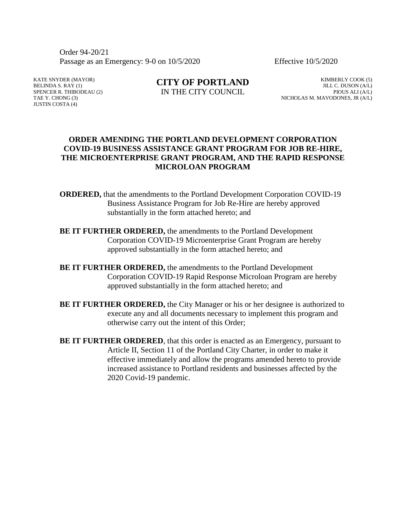Order 94-20/21 Passage as an Emergency: 9-0 on 10/5/2020 Effective 10/5/2020

KATE SNYDER (MAYOR) BELINDA S. RAY (1) SPENCER R. THIBODEAU (2) TAE Y. CHONG (3) JUSTIN COSTA (4)

**CITY OF PORTLAND** IN THE CITY COUNCIL

KIMBERLY COOK (5) JILL C. DUSON (A/L) PIOUS ALI (A/L) NICHOLAS M. MAVODONES, JR (A/L)

# **ORDER AMENDING THE PORTLAND DEVELOPMENT CORPORATION COVID-19 BUSINESS ASSISTANCE GRANT PROGRAM FOR JOB RE-HIRE, THE MICROENTERPRISE GRANT PROGRAM, AND THE RAPID RESPONSE MICROLOAN PROGRAM**

- **ORDERED,** that the amendments to the Portland Development Corporation COVID-19 Business Assistance Program for Job Re-Hire are hereby approved substantially in the form attached hereto; and
- **BE IT FURTHER ORDERED,** the amendments to the Portland Development Corporation COVID-19 Microenterprise Grant Program are hereby approved substantially in the form attached hereto; and
- **BE IT FURTHER ORDERED,** the amendments to the Portland Development Corporation COVID-19 Rapid Response Microloan Program are hereby approved substantially in the form attached hereto; and
- **BE IT FURTHER ORDERED,** the City Manager or his or her designee is authorized to execute any and all documents necessary to implement this program and otherwise carry out the intent of this Order;
- **BE IT FURTHER ORDERED**, that this order is enacted as an Emergency, pursuant to Article II, Section 11 of the Portland City Charter, in order to make it effective immediately and allow the programs amended hereto to provide increased assistance to Portland residents and businesses affected by the 2020 Covid-19 pandemic.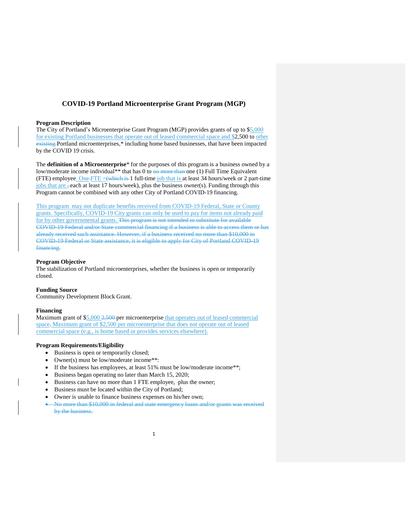# **COVID-19 Portland Microenterprise Grant Program (MGP)**

#### **Program Description**

The City of Portland's Microenterprise Grant Program (MGP) provides grants of up to \$5,000 for existing Portland businesses that operate out of leased commercial space and \$2,500 to other existing Portland microenterprises,\* including home based businesses, that have been impacted by the COVID 19 crisis.

The **definition of a Microenterprise**\* for the purposes of this program is a business owned by a low/moderate income individual\*\* that has 0 to no more than one (1) Full Time Equivalent (FTE) employee. One FTE  $=\left(\frac{1}{2} + \frac{1}{2}\right)$  full-time job that is at least 34 hours/week or 2 part-time jobs that are , each at least 17 hours/week), plus the business owner(s). Funding through this Program cannot be combined with any other City of Portland COVID-19 financing.

This program may not duplicate benefits received from COVID-19 Federal, State or County grants. Specifically, COVID-19 City grants can only be used to pay for items not already paid for by other governmental grants. This program is not intended to substitute for available COVID-19 Federal and/or State commercial financing if a business is able to access them or has already received such assistance. However, if a business received no more than \$10,000 in COVID-19 Federal or State assistance, it is eligible to apply for City of Portland COVID-19 financing.

### **Program Objective**

The stabilization of Portland microenterprises, whether the business is open or temporarily closed.

### **Funding Source**

Community Development Block Grant.

#### **Financing**

Maximum grant of \$5,000 2,500-per microenterprise that operates out of leased commercial space. Maximum grant of \$2,500 per microenterprise that does not operate out of leased commercial space (e.g., is home based or provides services elsewhere).

#### **Program Requirements/Eligibility**

- Business is open or temporarily closed;
- Owner(s) must be low/moderate income\*\*:
- If the business has employees, at least 51% must be low/moderate income\*\*;
- Business began operating no later than March 15, 2020;
- Business can have no more than 1 FTE employee, -plus the owner;
- Business must be located within the City of Portland;
- Owner is unable to finance business expenses on his/her own;
- No more than \$10,000 in federal and state emergency loans and/or grants was received by the business.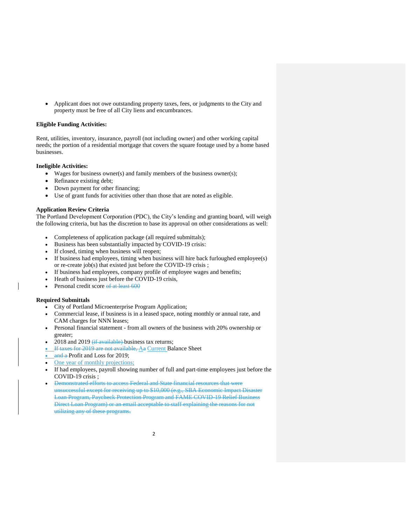Applicant does not owe outstanding property taxes, fees, or judgments to the City and property must be free of all City liens and encumbrances.

### **Eligible Funding Activities:**

Rent, utilities, inventory, insurance, payroll (not including owner) and other working capital needs; the portion of a residential mortgage that covers the square footage used by a home based businesses.

#### **Ineligible Activities:**

- Wages for business owner(s) and family members of the business owner(s);
- Refinance existing debt;
- Down payment for other financing;
- Use of grant funds for activities other than those that are noted as eligible.

#### **Application Review Criteria**

The Portland Development Corporation (PDC), the City's lending and granting board, will weigh the following criteria, but has the discretion to base its approval on other considerations as well:

- Completeness of application package (all required submittals);
- Business has been substantially impacted by COVID-19 crisis:
- If closed, timing when business will reopen;
- If business had employees, timing when business will hire back furloughed employee(s) or re-create job(s) that existed just before the COVID-19 crisis ;
- If business had employees, company profile of employee wages and benefits;
- Heath of business just before the COVID-19 crisis,
- Personal credit score of at least 600

### **Required Submittals**

- City of Portland Microenterprise Program Application;
- Commercial lease, if business is in a leased space, noting monthly or annual rate, and CAM charges for NNN leases;
- Personal financial statement from all owners of the business with 20% ownership or greater;
- 2018 and 2019  $(f_{\text{if available}})$  business tax returns;
- If taxes for 2019 are not available, Aa Current Balance Sheet
- $\frac{and}{end}$  a Profit and Loss for 2019;
- One year of monthly projections;
- If had employees, payroll showing number of full and part-time employees just before the COVID-19 crisis ;
- Demonstrated efforts to access Federal and State financial resources that were unsuccessful except for receiving up to \$10,000 (e.g., SBA Economic Impact Disaster Loan Program, Paycheck Protection Program and FAME COVID-19 Relief Business Direct Loan Program) or an email acceptable to staff explaining the reasons for not utilizing any of these programs.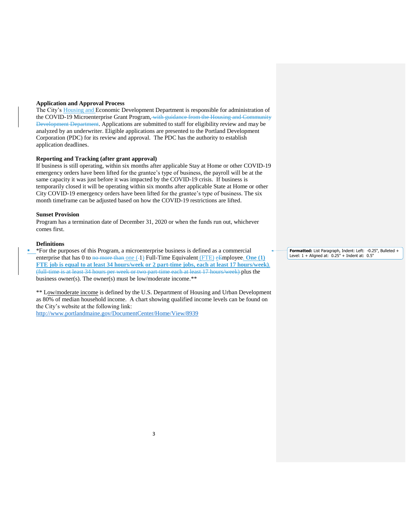#### **Application and Approval Process**

The City's Housing and Economic Development Department is responsible for administration of the COVID-19 Microenterprise Grant Program, with guidance from the Housing and Community Development Department. Applications are submitted to staff for eligibility review and may be analyzed by an underwriter. Eligible applications are presented to the Portland Development Corporation (PDC) for its review and approval. The PDC has the authority to establish application deadlines.

#### **Reporting and Tracking (after grant approval)**

If business is still operating, within six months after applicable Stay at Home or other COVID-19 emergency orders have been lifted for the grantee's type of business, the payroll will be at the same capacity it was just before it was impacted by the COVID-19 crisis. If business is temporarily closed it will be operating within six months after applicable State at Home or other City COVID-19 emergency orders have been lifted for the grantee's type of business. The six month timeframe can be adjusted based on how the COVID-19 restrictions are lifted.

### **Sunset Provision**

Program has a termination date of December 31, 2020 or when the funds run out, whichever comes first.

#### **Definitions**

 \*For the purposes of this Program, a microenterprise business is defined as a commercial enterprise that has 0 to <del>no more than</del> one (-1) Full-Time Equivalent (FTE) eEmployee. **One (1) FTE job is equal to at least 34 hours/week or 2 part-time jobs, each at least 17 hours/week)**. (full-time is at least 34 hours per week or two part-time each at least 17 hours/week) plus the business owner(s). The owner(s) must be low/moderate income.\*\*

\*\* Low/moderate income is defined by the U.S. Department of Housing and Urban Development as 80% of median household income. A chart showing qualified income levels can be found on the City's website at the following link:

<http://www.portlandmaine.gov/DocumentCenter/Home/View/8939>

**Formatted:** List Paragraph, Indent: Left: -0.25", Bulleted + Level: 1 + Aligned at: 0.25" + Indent at: 0.5"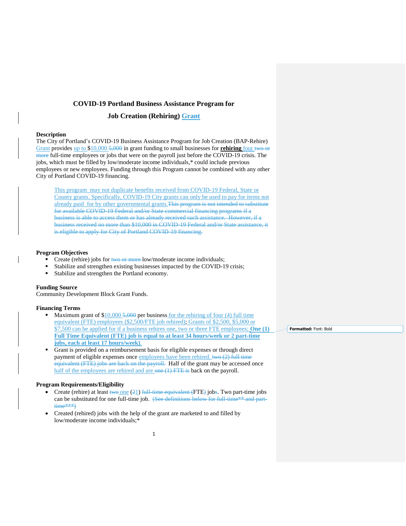## **COVID-19 Portland Business Assistance Program for**

# **Job Creation (Rehiring) Grant**

### **Description**

The City of Portland's COVID-19 Business Assistance Program for Job Creation (BAP-Rehire) Grant provides up to \$10,000 5,000 in grant funding to small businesses for **rehiring** four two or more full-time employees or jobs that were on the payroll just before the COVID-19 crisis. The jobs, which must be filled by low/moderate income individuals,\* could include previous employees or new employees. Funding through this Program cannot be combined with any other City of Portland COVID-19 financing.

This program may not duplicate benefits received from COVID-19 Federal, State or County grants. Specifically, COVID-19 City grants can only be used to pay for items not already paid for by other governmental grants.This program is not intended to substitute for available COVID-19 Federal and/or State commercial financing programs if a business is able to access them or has already received such assistance. However, if a business received no more than \$10,000 in COVID-19 Federal and/or State assistance, it is eligible to apply for City of Portland COVID-19 financing.

### **Program Objectives**

- Create (rehire) jobs for two or more low/moderate income individuals;
- Stabilize and strengthen existing businesses impacted by the COVID-19 crisis;
- Stabilize and strengthen the Portland economy.

### **Funding Source**

Community Development Block Grant Funds.

#### **Financing Terms**

- Maximum grant of  $$10,000 5,000$  per business for the rehiring of four (4) full time equivalent (FTE) employees (\$2,500/FTE job rehired); Grants of \$2,500, \$5,000 or \$7,500 can be applied for if a business rehires one, two or three FTE employees; **One (1) Full Time Equivalent (FTE) job is equal to at least 34 hours/week or 2 part-time jobs, each at least 17 hours/week)**.
- Grant is provided on a reimbursement basis for eligible expenses or through direct payment of eligible expenses once employees have been rehired. two (2) full time equivalent (FTE) jobs are back on the payroll. Half of the grant may be accessed once half of the employees are rehired and are one (1) FTE is back on the payroll.

### **Program Requirements/Eligibility**

- Create (rehire) at least two one  $(21)$  full-time equivalent (FTE) jobs. Two part-time jobs can be substituted for one full-time job. (See definitions below for full-time\*\* and parttime\*\*\*)
- Created (rehired) jobs with the help of the grant are marketed to and filled by low/moderate income individuals;\*

**Formatted:** Font: Bold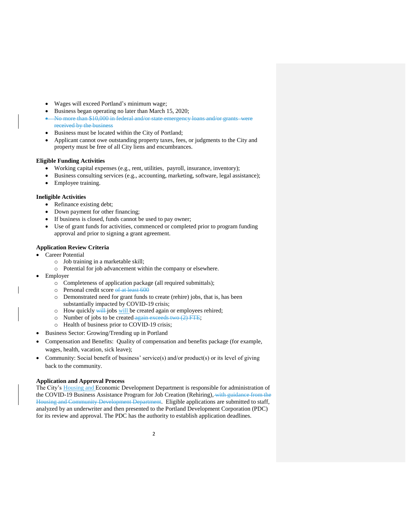- Wages will exceed Portland's minimum wage;
- Business began operating no later than March 15, 2020;
- No more than \$10,000 in federal and/or state emergency loans and/or grants were received by the business
- Business must be located within the City of Portland;
- Applicant cannot owe outstanding property taxes, fees, or judgments to the City and property must be free of all City liens and encumbrances.

### **Eligible Funding Activities**

- Working capital expenses (e.g., rent, utilities, payroll, insurance, inventory);
- Business consulting services (e.g., accounting, marketing, software, legal assistance);
- Employee training.

### **Ineligible Activities**

- Refinance existing debt;
- Down payment for other financing;
- If business is closed, funds cannot be used to pay owner;
- Use of grant funds for activities, commenced or completed prior to program funding approval and prior to signing a grant agreement.

## **Application Review Criteria**

- Career Potential
	- o Job training in a marketable skill;
	- o Potential for job advancement within the company or elsewhere.
- Employer
	- o Completeness of application package (all required submittals);
	- o Personal credit score of at least 600
	- o Demonstrated need for grant funds to create (rehire) jobs, that is, has been substantially impacted by COVID-19 crisis;
	- o How quickly will jobs will be created again or employees rehired;
	- o Number of jobs to be created again exceeds two  $(2)$  FTE;
	- o Health of business prior to COVID-19 crisis;
- Business Sector: Growing/Trending up in Portland
- Compensation and Benefits: Quality of compensation and benefits package (for example, wages, health, vacation, sick leave);
- Community: Social benefit of business' service(s) and/or product(s) or its level of giving back to the community.

### **Application and Approval Process**

The City's Housing and Economic Development Department is responsible for administration of the COVID-19 Business Assistance Program for Job Creation (Rehiring), with guidance from the Housing and Community Development Department. Eligible applications are submitted to staff, analyzed by an underwriter and then presented to the Portland Development Corporation (PDC) for its review and approval. The PDC has the authority to establish application deadlines.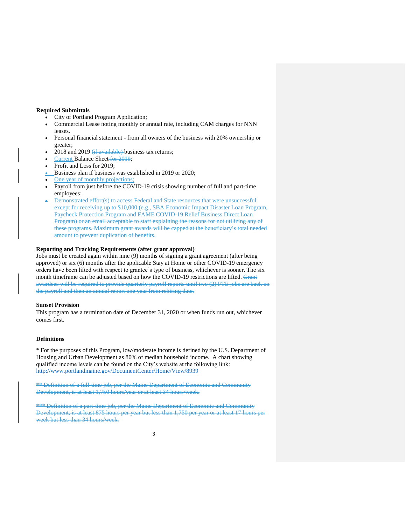#### **Required Submittals**

- City of Portland Program Application;
- Commercial Lease noting monthly or annual rate, including CAM charges for NNN leases.
- Personal financial statement from all owners of the business with 20% ownership or greater;
- 2018 and 2019  $(f_{\text{if available}})$  business tax returns;
- Current Balance Sheet for 2019;
- Profit and Loss for 2019;
- Business plan if business was established in 2019 or 2020;
- One year of monthly projections;
- Payroll from just before the COVID-19 crisis showing number of full and part-time employees;
- Demonstrated effort(s) to access Federal and State resources that were unsuccessful except for receiving up to \$10,000 (e.g., SBA Economic Impact Disaster Loan Program, Paycheck Protection Program and FAME COVID-19 Relief Business Direct Loan Program) or an email acceptable to staff explaining the reasons for not utilizing any of these programs. Maximum grant awards will be capped at the beneficiary's total needed amount to prevent duplication of benefits.

### **Reporting and Tracking Requirements (after grant approval)**

Jobs must be created again within nine (9) months of signing a grant agreement (after being approved) or six (6) months after the applicable Stay at Home or other COVID-19 emergency orders have been lifted with respect to grantee's type of business, whichever is sooner. The six month timeframe can be adjusted based on how the COVID-19 restrictions are lifted. Grant awardees will be required to provide quarterly payroll reports until two (2) FTE jobs are back on the payroll and then an annual report one year from rehiring date.

#### **Sunset Provision**

This program has a termination date of December 31, 2020 or when funds run out, whichever comes first.

### **Definitions**

\* For the purposes of this Program, low/moderate income is defined by the U.S. Department of Housing and Urban Development as 80% of median household income. A chart showing qualified income levels can be found on the City's website at the following link: <http://www.portlandmaine.gov/DocumentCenter/Home/View/8939>

\*\* Definition of a full-time job, per the Maine Department of Economic and Community Development, is at least 1,750 hours/year or at least 34 hours/week.

\*\*\* Definition of a part-time job, per the Maine Department of Economic and Community Development, is at least 875 hours per year but less than 1,750 per year or at least 17 hours per week but less than 34 hours/week.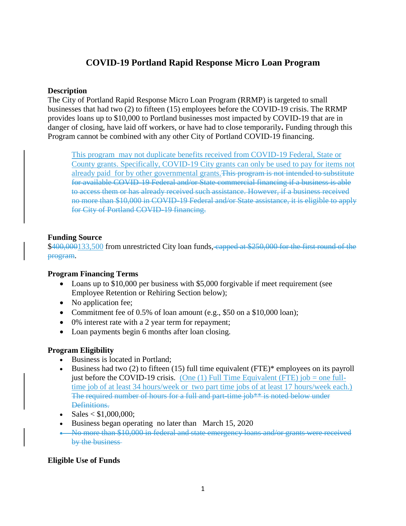# **COVID-19 Portland Rapid Response Micro Loan Program**

# **Description**

The City of Portland Rapid Response Micro Loan Program (RRMP) is targeted to small businesses that had two (2) to fifteen (15) employees before the COVID-19 crisis. The RRMP provides loans up to \$10,000 to Portland businesses most impacted by COVID-19 that are in danger of closing, have laid off workers, or have had to close temporarily**.** Funding through this Program cannot be combined with any other City of Portland COVID-19 financing.

This program may not duplicate benefits received from COVID-19 Federal, State or County grants. Specifically, COVID-19 City grants can only be used to pay for items not already paid for by other governmental grants. This program is not intended to substitute for available COVID-19 Federal and/or State commercial financing if a business is able to access them or has already received such assistance. However, if a business received no more than \$10,000 in COVID-19 Federal and/or State assistance, it is eligible to apply for City of Portland COVID-19 financing.

# **Funding Source**

\$400,000133,500 from unrestricted City loan funds, capped at \$250,000 for the first round of the program.

# **Program Financing Terms**

- Loans up to \$10,000 per business with \$5,000 forgivable if meet requirement (see Employee Retention or Rehiring Section below);
- No application fee;
- Commitment fee of 0.5% of loan amount (e.g., \$50 on a \$10,000 loan);
- 0% interest rate with a 2 year term for repayment;
- Loan payments begin 6 months after loan closing.

# **Program Eligibility**

- Business is located in Portland;
- Business had two  $(2)$  to fifteen  $(15)$  full time equivalent  $(FTE)^*$  employees on its payroll just before the COVID-19 crisis. (One  $(1)$  Full Time Equivalent (FTE) job = one fulltime job of at least 34 hours/week or two part time jobs of at least 17 hours/week each.) The required number of hours for a full and part-time job\*\* is noted below under Definitions.
- Sales  $< $1,000,000;$
- Business began operating no later than March 15, 2020
- No more than \$10,000 in federal and state emergency loans and/or grants were received by the business

# **Eligible Use of Funds**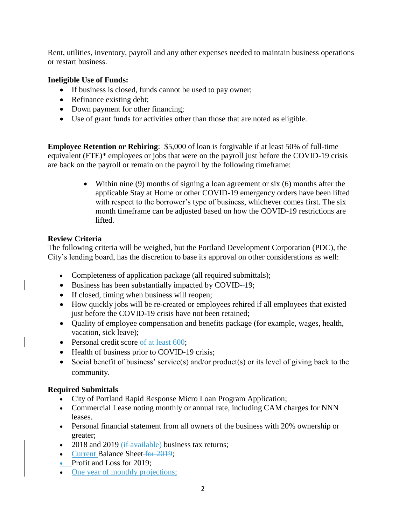Rent, utilities, inventory, payroll and any other expenses needed to maintain business operations or restart business.

# **Ineligible Use of Funds:**

- If business is closed, funds cannot be used to pay owner;
- Refinance existing debt;
- Down payment for other financing;
- Use of grant funds for activities other than those that are noted as eligible.

**Employee Retention or Rehiring**: \$5,000 of loan is forgivable if at least 50% of full-time equivalent (FTE)\* employees or jobs that were on the payroll just before the COVID-19 crisis are back on the payroll or remain on the payroll by the following timeframe:

> Within nine (9) months of signing a loan agreement or six (6) months after the applicable Stay at Home or other COVID-19 emergency orders have been lifted with respect to the borrower's type of business, whichever comes first. The six month timeframe can be adjusted based on how the COVID-19 restrictions are lifted.

# **Review Criteria**

The following criteria will be weighed, but the Portland Development Corporation (PDC), the City's lending board, has the discretion to base its approval on other considerations as well:

- Completeness of application package (all required submittals);
- Business has been substantially impacted by COVID--19;
- If closed, timing when business will reopen;
- How quickly jobs will be re-created or employees rehired if all employees that existed just before the COVID-19 crisis have not been retained;
- Quality of employee compensation and benefits package (for example, wages, health, vacation, sick leave);
- Personal credit score-of at least 600;
- Health of business prior to COVID-19 crisis;
- Social benefit of business' service(s) and/or product(s) or its level of giving back to the community.

# **Required Submittals**

- City of Portland Rapid Response Micro Loan Program Application;
- Commercial Lease noting monthly or annual rate, including CAM charges for NNN leases.
- Personal financial statement from all owners of the business with 20% ownership or greater;
- 2018 and 2019  $(i$ f available) business tax returns;
- Current Balance Sheet for 2019;
- Profit and Loss for 2019:
- One year of monthly projections;